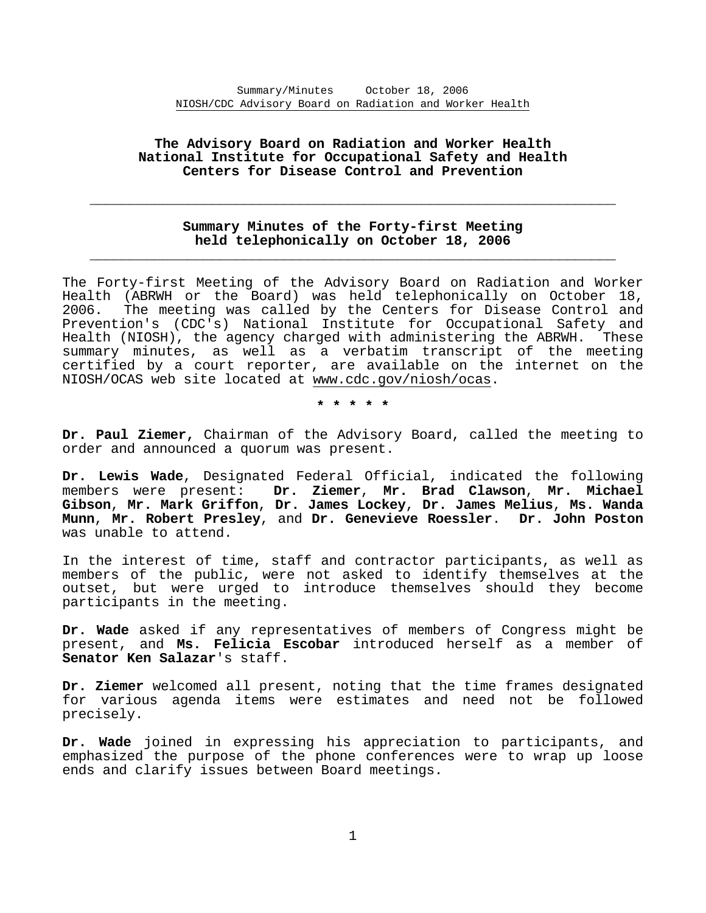# **The Advisory Board on Radiation and Worker Health National Institute for Occupational Safety and Health Centers for Disease Control and Prevention**

# **Summary Minutes of the Forty-first Meeting held telephonically on October 18, 2006 \_\_\_\_\_\_\_\_\_\_\_\_\_\_\_\_\_\_\_\_\_\_\_\_\_\_\_\_\_\_\_\_\_\_\_\_\_\_\_\_\_\_\_\_\_\_\_\_\_\_\_\_\_\_\_\_\_\_\_\_\_\_\_\_\_**

**\_\_\_\_\_\_\_\_\_\_\_\_\_\_\_\_\_\_\_\_\_\_\_\_\_\_\_\_\_\_\_\_\_\_\_\_\_\_\_\_\_\_\_\_\_\_\_\_\_\_\_\_\_\_\_\_\_\_\_\_\_\_\_\_\_** 

The Forty-first Meeting of the Advisory Board on Radiation and Worker Health (ABRWH or the Board) was held telephonically on October 18, 2006. The meeting was called by the Centers for Disease Control and Prevention's (CDC's) National Institute for Occupational Safety and Health (NIOSH), the agency charged with administering the ABRWH. These summary minutes, as well as a verbatim transcript of the meeting certified by a court reporter, are available on the internet on the NIOSH/OCAS web site located at www.cdc.gov/niosh/ocas.

**\* \* \* \* \*** 

**Dr. Paul Ziemer,** Chairman of the Advisory Board, called the meeting to order and announced a quorum was present.

**Dr. Lewis Wade**, Designated Federal Official, indicated the following members were present: **Dr. Ziemer**, **Mr. Brad Clawson**, **Mr. Michael Gibson**, **Mr. Mark Griffon**, **Dr. James Lockey**, **Dr. James Melius**, **Ms. Wanda Munn**, **Mr. Robert Presley**, and **Dr. Genevieve Roessler**. **Dr. John Poston** was unable to attend.

In the interest of time, staff and contractor participants, as well as members of the public, were not asked to identify themselves at the outset, but were urged to introduce themselves should they become participants in the meeting.

**Dr. Wade** asked if any representatives of members of Congress might be present, and **Ms. Felicia Escobar** introduced herself as a member of **Senator Ken Salazar**'s staff.

**Dr. Ziemer** welcomed all present, noting that the time frames designated for various agenda items were estimates and need not be followed precisely.

**Dr. Wade** joined in expressing his appreciation to participants, and emphasized the purpose of the phone conferences were to wrap up loose ends and clarify issues between Board meetings.

1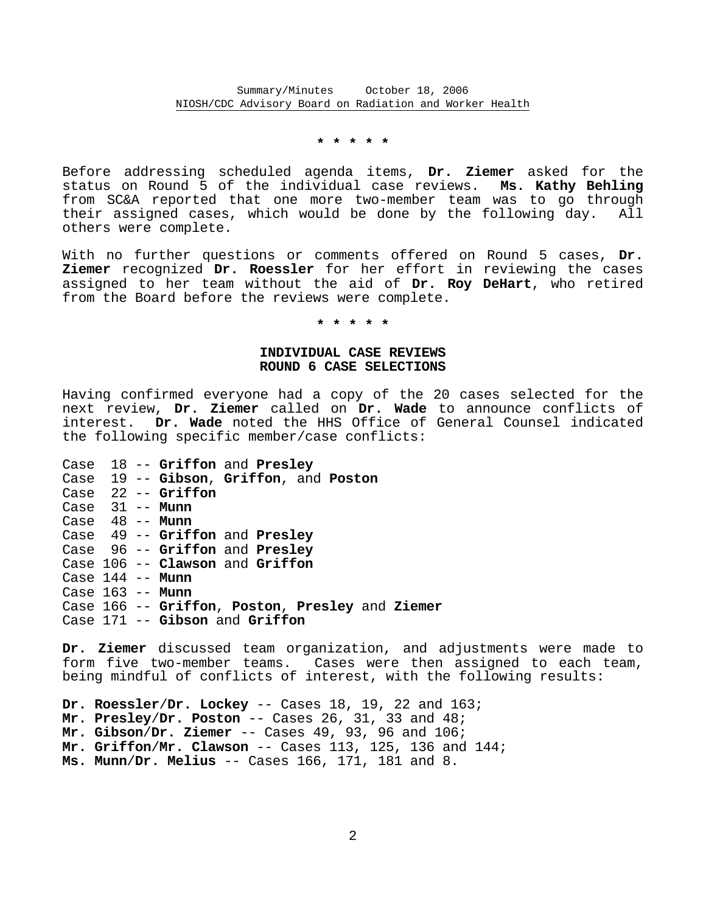### **\* \* \* \* \***

Before addressing scheduled agenda items, **Dr. Ziemer** asked for the status on Round 5 of the individual case reviews. **Ms. Kathy Behling** from SC&A reported that one more two-member team was to go through their assigned cases, which would be done by the following day. All others were complete.

With no further questions or comments offered on Round 5 cases, **Dr. Ziemer** recognized **Dr. Roessler** for her effort in reviewing the cases assigned to her team without the aid of **Dr. Roy DeHart**, who retired from the Board before the reviews were complete.

## **\* \* \* \* \***

### **INDIVIDUAL CASE REVIEWS ROUND 6 CASE SELECTIONS**

Having confirmed everyone had a copy of the 20 cases selected for the next review, **Dr. Ziemer** called on **Dr. Wade** to announce conflicts of interest. **Dr. Wade** noted the HHS Office of General Counsel indicated the following specific member/case conflicts:

|  | Case 18 -- Griffon and Presley                  |
|--|-------------------------------------------------|
|  | Case 19 -- Gibson, Griffon, and Poston          |
|  | Case 22 -- Griffon                              |
|  | Case 31 -- Munn                                 |
|  | Case $48$ -- Munn                               |
|  | Case 49 -- Griffon and Presley                  |
|  | Case 96 -- Griffon and Presley                  |
|  | Case 106 -- Clawson and Griffon                 |
|  | Case 144 -- Munn                                |
|  | Case 163 -- Munn                                |
|  | Case 166 -- Griffon, Poston, Presley and Ziemer |
|  | Case 171 -- Gibson and Griffon                  |

**Dr. Ziemer** discussed team organization, and adjustments were made to form five two-member teams. Cases were then assigned to each team, being mindful of conflicts of interest, with the following results:

**Dr. Roessler**/**Dr. Lockey** -- Cases 18, 19, 22 and 163; **Mr. Presley**/**Dr. Poston** -- Cases 26, 31, 33 and 48; **Mr. Gibson**/**Dr. Ziemer** -- Cases 49, 93, 96 and 106; **Mr. Griffon**/**Mr. Clawson** -- Cases 113, 125, 136 and 144; **Ms. Munn**/**Dr. Melius** -- Cases 166, 171, 181 and 8.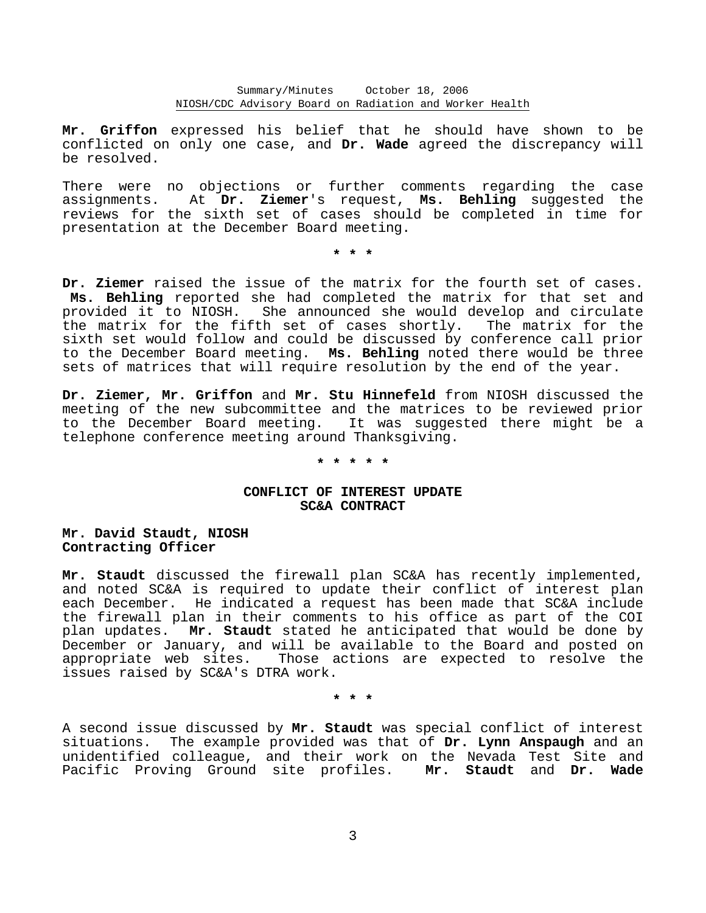Summary/Minutes October 18, 2006 NIOSH/CDC Advisory Board on Radiation and Worker Health

**Mr. Griffon** expressed his belief that he should have shown to be conflicted on only one case, and **Dr. Wade** agreed the discrepancy will be resolved.

There were no objections or further comments regarding the case assignments. At **Dr. Ziemer**'s request, **Ms. Behling** suggested the reviews for the sixth set of cases should be completed in time for presentation at the December Board meeting.

**\* \* \*** 

**Dr. Ziemer** raised the issue of the matrix for the fourth set of cases. **Ms. Behling** reported she had completed the matrix for that set and She announced she would develop and circulate the matrix for the fifth set of cases shortly. The matrix for the sixth set would follow and could be discussed by conference call prior to the December Board meeting. **Ms. Behling** noted there would be three sets of matrices that will require resolution by the end of the year.

**Dr. Ziemer, Mr. Griffon** and **Mr. Stu Hinnefeld** from NIOSH discussed the meeting of the new subcommittee and the matrices to be reviewed prior to the December Board meeting. It was suggested there might be a telephone conference meeting around Thanksgiving.

# **\* \* \* \* \***

# **CONFLICT OF INTEREST UPDATE SC&A CONTRACT**

**Mr. David Staudt, NIOSH Contracting Officer** 

**Mr. Staudt** discussed the firewall plan SC&A has recently implemented, and noted SC&A is required to update their conflict of interest plan each December. He indicated a request has been made that SC&A include the firewall plan in their comments to his office as part of the COI plan updates. **Mr. Staudt** stated he anticipated that would be done by December or January, and will be available to the Board and posted on appropriate web sites. Those actions are expected to resolve the issues raised by SC&A's DTRA work.

**\* \* \*** 

A second issue discussed by **Mr. Staudt** was special conflict of interest situations. The example provided was that of **Dr. Lynn Anspaugh** and an unidentified colleague, and their work on the Nevada Test Site and Pacific Proving Ground site profiles. **Mr. Staudt** and **Dr. Wade**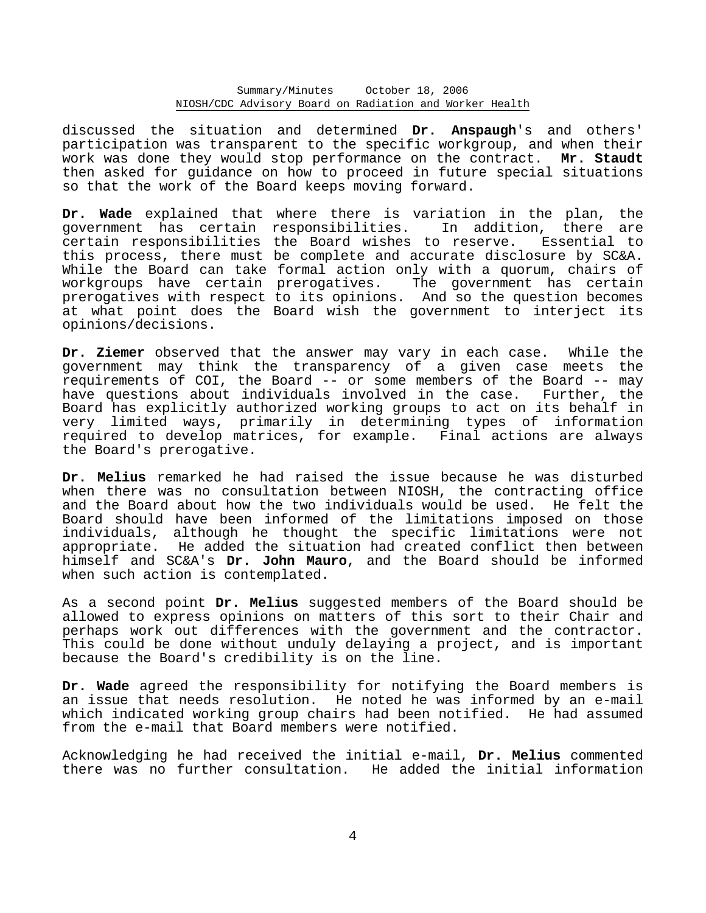Summary/Minutes October 18, 2006 NIOSH/CDC Advisory Board on Radiation and Worker Health

discussed the situation and determined **Dr. Anspaugh**'s and others' participation was transparent to the specific workgroup, and when their work was done they would stop performance on the contract. **Mr. Staudt** then asked for guidance on how to proceed in future special situations so that the work of the Board keeps moving forward.

**Dr. Wade** explained that where there is variation in the plan, the government has certain responsibilities. In addition, there are certain responsibilities the Board wishes to reserve. Essential to this process, there must be complete and accurate disclosure by SC&A. While the Board can take formal action only with a quorum, chairs of workgroups have certain prerogatives. The government has certain prerogatives with respect to its opinions. And so the question becomes at what point does the Board wish the government to interject its opinions/decisions.

**Dr. Ziemer** observed that the answer may vary in each case. While the government may think the transparency of a given case meets the requirements of COI, the Board -- or some members of the Board -- may have questions about individuals involved in the case. Further, the Board has explicitly authorized working groups to act on its behalf in very limited ways, primarily in determining types of information required to develop matrices, for example. Final actions are always the Board's prerogative.

**Dr. Melius** remarked he had raised the issue because he was disturbed when there was no consultation between NIOSH, the contracting office and the Board about how the two individuals would be used. He felt the Board should have been informed of the limitations imposed on those individuals, although he thought the specific limitations were not appropriate. He added the situation had created conflict then between himself and SC&A's **Dr. John Mauro**, and the Board should be informed when such action is contemplated.

As a second point **Dr. Melius** suggested members of the Board should be allowed to express opinions on matters of this sort to their Chair and perhaps work out differences with the government and the contractor. This could be done without unduly delaying a project, and is important because the Board's credibility is on the line.

**Dr. Wade** agreed the responsibility for notifying the Board members is an issue that needs resolution. He noted he was informed by an e-mail which indicated working group chairs had been notified. He had assumed from the e-mail that Board members were notified.

Acknowledging he had received the initial e-mail, **Dr. Melius** commented there was no further consultation. He added the initial information

4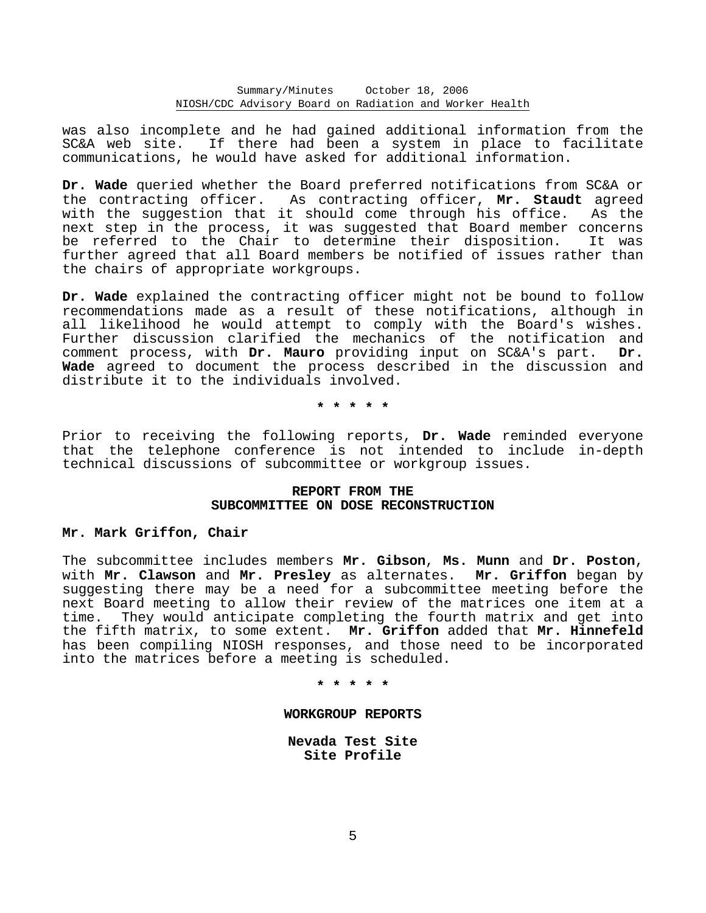Summary/Minutes October 18, 2006 NIOSH/CDC Advisory Board on Radiation and Worker Health

was also incomplete and he had gained additional information from the SC&A web site. If there had been a system in place to facilitate communications, he would have asked for additional information.

**Dr. Wade** queried whether the Board preferred notifications from SC&A or the contracting officer. As contracting officer, **Mr. Staudt** agreed with the suggestion that it should come through his office. As the next step in the process, it was suggested that Board member concerns be referred to the Chair to determine their disposition. It was further agreed that all Board members be notified of issues rather than the chairs of appropriate workgroups.

**Dr. Wade** explained the contracting officer might not be bound to follow recommendations made as a result of these notifications, although in all likelihood he would attempt to comply with the Board's wishes. Further discussion clarified the mechanics of the notification and comment process, with **Dr. Mauro** providing input on SC&A's part. **Dr. Wade** agreed to document the process described in the discussion and distribute it to the individuals involved.

**\* \* \* \* \*** 

Prior to receiving the following reports, **Dr. Wade** reminded everyone that the telephone conference is not intended to include in-depth technical discussions of subcommittee or workgroup issues.

# **REPORT FROM THE SUBCOMMITTEE ON DOSE RECONSTRUCTION**

#### **Mr. Mark Griffon, Chair**

The subcommittee includes members **Mr. Gibson**, **Ms. Munn** and **Dr. Poston**, with **Mr. Clawson** and **Mr. Presley** as alternates. **Mr. Griffon** began by suggesting there may be a need for a subcommittee meeting before the next Board meeting to allow their review of the matrices one item at a time. They would anticipate completing the fourth matrix and get into the fifth matrix, to some extent. **Mr. Griffon** added that **Mr. Hinnefeld** has been compiling NIOSH responses, and those need to be incorporated into the matrices before a meeting is scheduled.

**\* \* \* \* \*** 

#### **WORKGROUP REPORTS**

**Nevada Test Site Site Profile**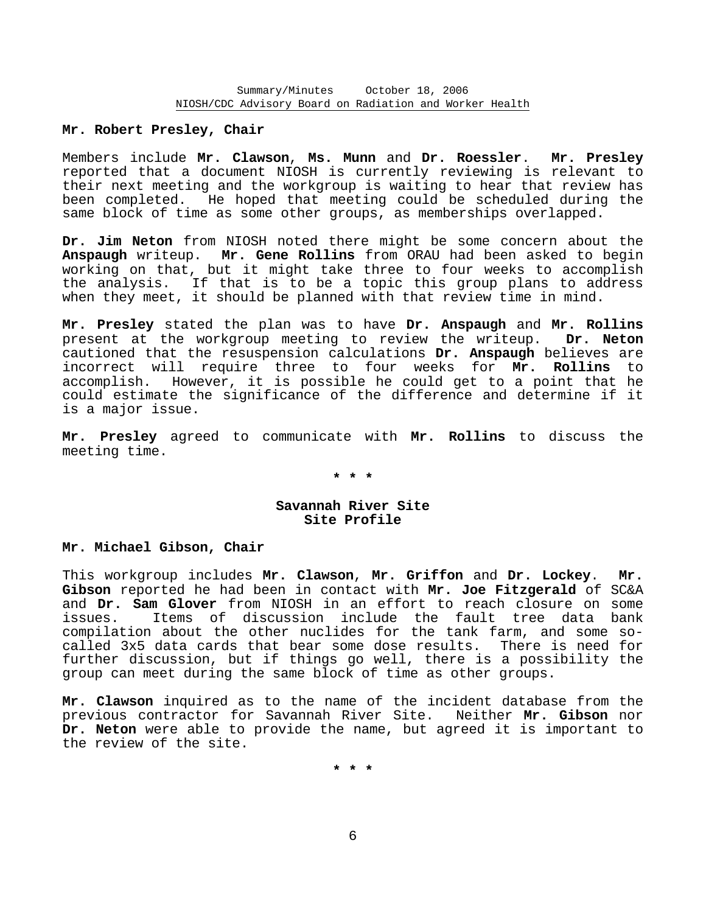## **Mr. Robert Presley, Chair**

Members include **Mr. Clawson**, **Ms. Munn** and **Dr. Roessler**. **Mr. Presley** reported that a document NIOSH is currently reviewing is relevant to their next meeting and the workgroup is waiting to hear that review has been completed. He hoped that meeting could be scheduled during the same block of time as some other groups, as memberships overlapped.

**Dr. Jim Neton** from NIOSH noted there might be some concern about the **Anspaugh** writeup. **Mr. Gene Rollins** from ORAU had been asked to begin working on that, but it might take three to four weeks to accomplish the analysis. If that is to be a topic this group plans to address when they meet, it should be planned with that review time in mind.

**Mr. Presley** stated the plan was to have **Dr. Anspaugh** and **Mr. Rollins** present at the workgroup meeting to review the writeup. **Dr. Neton** cautioned that the resuspension calculations **Dr. Anspaugh** believes are incorrect will require three to four weeks for **Mr. Rollins** to accomplish. However, it is possible he could get to a point that he could estimate the significance of the difference and determine if it is a major issue.

**Mr. Presley** agreed to communicate with **Mr. Rollins** to discuss the meeting time.

**\* \* \*** 

# **Savannah River Site Site Profile**

### **Mr. Michael Gibson, Chair**

This workgroup includes **Mr. Clawson**, **Mr. Griffon** and **Dr. Lockey**. **Mr. Gibson** reported he had been in contact with **Mr. Joe Fitzgerald** of SC&A and **Dr. Sam Glover** from NIOSH in an effort to reach closure on some issues. Items of discussion include the fault tree data bank compilation about the other nuclides for the tank farm, and some so called 3x5 data cards that bear some dose results. There is need for further discussion, but if things go well, there is a possibility the group can meet during the same block of time as other groups.

**Mr. Clawson** inquired as to the name of the incident database from the previous contractor for Savannah River Site. Neither **Mr. Gibson** nor **Dr. Neton** were able to provide the name, but agreed it is important to the review of the site.

**\* \* \***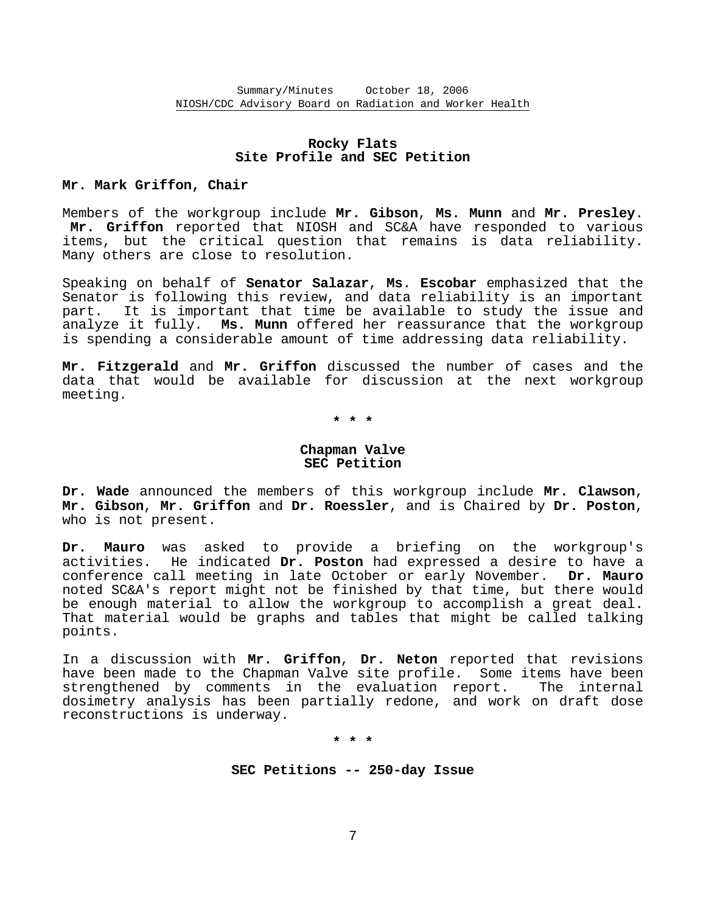# **Rocky Flats Site Profile and SEC Petition**

### **Mr. Mark Griffon, Chair**

Members of the workgroup include **Mr. Gibson**, **Ms. Munn** and **Mr. Presley**. **Mr. Griffon** reported that NIOSH and SC&A have responded to various items, but the critical question that remains is data reliability. Many others are close to resolution.

Speaking on behalf of **Senator Salazar**, **Ms. Escobar** emphasized that the Senator is following this review, and data reliability is an important part. It is important that time be available to study the issue and analyze it fully. **Ms. Munn** offered her reassurance that the workgroup is spending a considerable amount of time addressing data reliability.

**Mr. Fitzgerald** and **Mr. Griffon** discussed the number of cases and the data that would be available for discussion at the next workgroup meeting.

**\* \* \*** 

# **Chapman Valve SEC Petition**

**Dr. Wade** announced the members of this workgroup include **Mr. Clawson**, **Mr. Gibson**, **Mr. Griffon** and **Dr. Roessler**, and is Chaired by **Dr. Poston**, who is not present.

**Dr. Mauro** was asked to provide a briefing on the workgroup's activities. He indicated **Dr. Poston** had expressed a desire to have a conference call meeting in late October or early November. **Dr. Mauro** noted SC&A's report might not be finished by that time, but there would be enough material to allow the workgroup to accomplish a great deal. That material would be graphs and tables that might be called talking points.

In a discussion with **Mr. Griffon**, **Dr. Neton** reported that revisions have been made to the Chapman Valve site profile. Some items have been strengthened by comments in the evaluation report. The internal dosimetry analysis has been partially redone, and work on draft dose reconstructions is underway.

**\* \* \*** 

**SEC Petitions -- 250-day Issue** 

7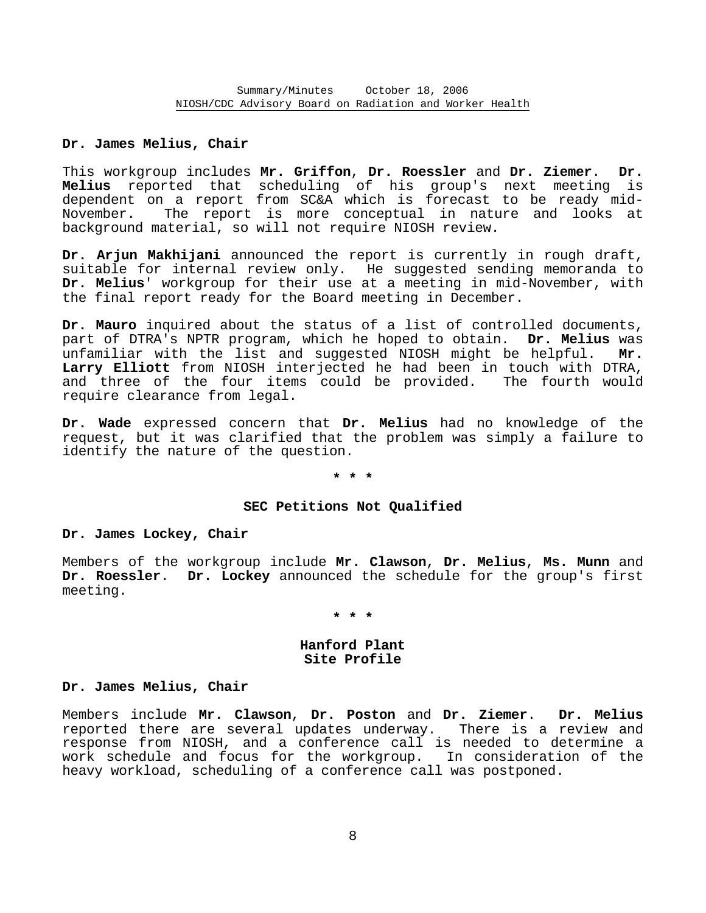# **Dr. James Melius, Chair**

This workgroup includes **Mr. Griffon**, **Dr. Roessler** and **Dr. Ziemer**. **Dr. Melius** reported that scheduling of his group's next meeting is dependent on a report from SC&A which is forecast to be ready mid- November. The report is more conceptual in nature and looks at background material, so will not require NIOSH review.

**Dr. Arjun Makhijani** announced the report is currently in rough draft, suitable for internal review only. He suggested sending memoranda to **Dr. Melius**' workgroup for their use at a meeting in mid-November, with the final report ready for the Board meeting in December.

**Dr. Mauro** inquired about the status of a list of controlled documents, part of DTRA's NPTR program, which he hoped to obtain. **Dr. Melius** was unfamiliar with the list and suggested NIOSH might be helpful. **Mr. Larry Elliott** from NIOSH interjected he had been in touch with DTRA, and three of the four items could be provided. The fourth would require clearance from legal.

**Dr. Wade** expressed concern that **Dr. Melius** had no knowledge of the request, but it was clarified that the problem was simply a failure to identify the nature of the question.

#### **\* \* \***

### **SEC Petitions Not Qualified**

### **Dr. James Lockey, Chair**

Members of the workgroup include **Mr. Clawson**, **Dr. Melius**, **Ms. Munn** and **Dr. Roessler**. **Dr. Lockey** announced the schedule for the group's first meeting.

### **\* \* \***

## **Hanford Plant Site Profile**

### **Dr. James Melius, Chair**

Members include **Mr. Clawson**, **Dr. Poston** and **Dr. Ziemer**. **Dr. Melius** reported there are several updates underway. There is a review and response from NIOSH, and a conference call is needed to determine a work schedule and focus for the workgroup. In consideration of the heavy workload, scheduling of a conference call was postponed.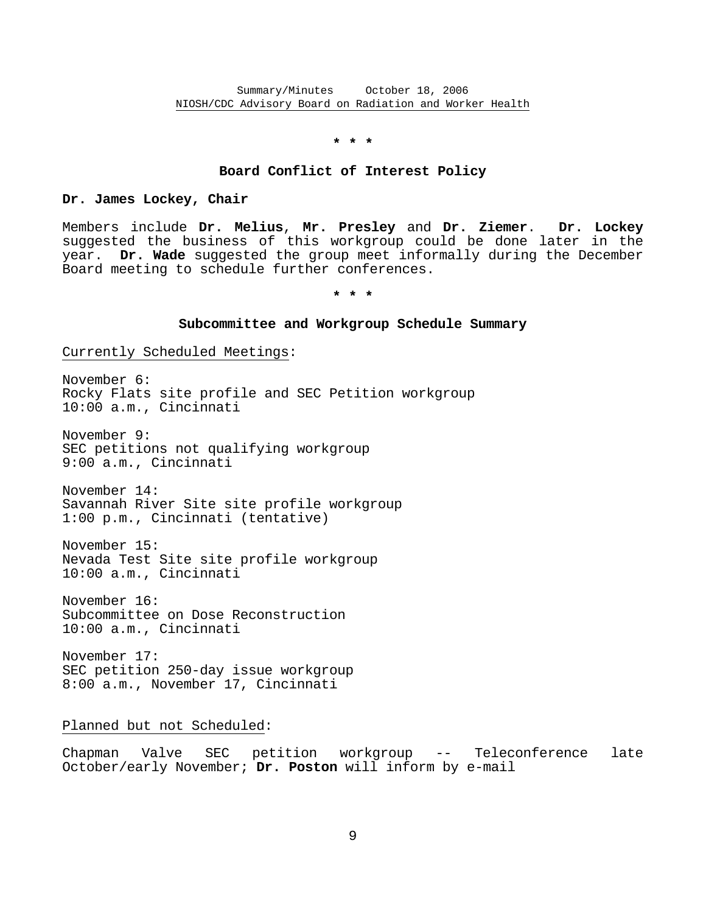### **\* \* \***

### **Board Conflict of Interest Policy**

### **Dr. James Lockey, Chair**

Members include **Dr. Melius**, **Mr. Presley** and **Dr. Ziemer**. **Dr. Lockey** suggested the business of this workgroup could be done later in the year. **Dr. Wade** suggested the group meet informally during the December Board meeting to schedule further conferences.

**\* \* \*** 

#### **Subcommittee and Workgroup Schedule Summary**

Currently Scheduled Meetings:

November 6: Rocky Flats site profile and SEC Petition workgroup 10:00 a.m., Cincinnati

November 9: SEC petitions not qualifying workgroup 9:00 a.m., Cincinnati

November 14: Savannah River Site site profile workgroup 1:00 p.m., Cincinnati (tentative)

November 15: Nevada Test Site site profile workgroup 10:00 a.m., Cincinnati

November 16: Subcommittee on Dose Reconstruction 10:00 a.m., Cincinnati

November 17: SEC petition 250-day issue workgroup 8:00 a.m., November 17, Cincinnati

Planned but not Scheduled:

Chapman Valve SEC petition workgroup -- Teleconference late October/early November; **Dr. Poston** will inform by e-mail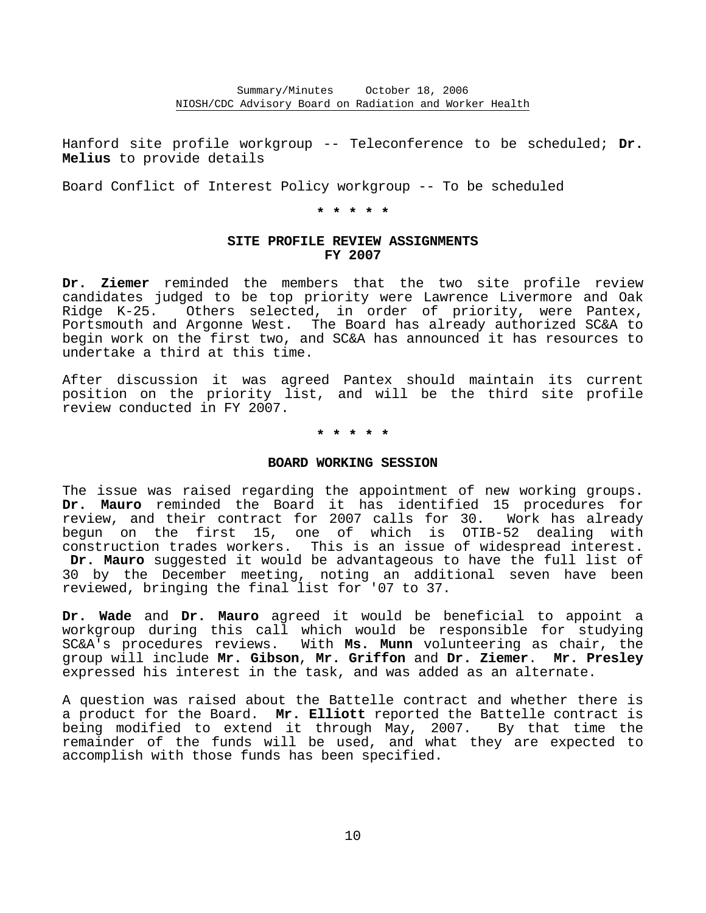Hanford site profile workgroup -- Teleconference to be scheduled; **Dr. Melius** to provide details

Board Conflict of Interest Policy workgroup -- To be scheduled

**\* \* \* \* \*** 

# **SITE PROFILE REVIEW ASSIGNMENTS FY 2007**

**Dr. Ziemer** reminded the members that the two site profile review candidates judged to be top priority were Lawrence Livermore and Oak Ridge K-25. Others selected, in order of priority, were Pantex, Portsmouth and Argonne West. The Board has already authorized SC&A to begin work on the first two, and SC&A has announced it has resources to undertake a third at this time.

After discussion it was agreed Pantex should maintain its current position on the priority list, and will be the third site profile review conducted in FY 2007.

**\* \* \* \* \*** 

### **BOARD WORKING SESSION**

The issue was raised regarding the appointment of new working groups. **Dr. Mauro** reminded the Board it has identified 15 procedures for review, and their contract for 2007 calls for 30. Work has already begun on the first 15, one of which is OTIB-52 dealing with construction trades workers. This is an issue of widespread interest. **Dr. Mauro** suggested it would be advantageous to have the full list of 30 by the December meeting, noting an additional seven have been reviewed, bringing the final list for '07 to 37.

**Dr. Wade** and **Dr. Mauro** agreed it would be beneficial to appoint a workgroup during this call which would be responsible for studying SC&A's procedures reviews. With **Ms. Munn** volunteering as chair, the group will include **Mr. Gibson**, **Mr. Griffon** and **Dr. Ziemer**. **Mr. Presley** expressed his interest in the task, and was added as an alternate.

A question was raised about the Battelle contract and whether there is a product for the Board. **Mr. Elliott** reported the Battelle contract is being modified to extend it through May, 2007. By that time the remainder of the funds will be used, and what they are expected to accomplish with those funds has been specified.